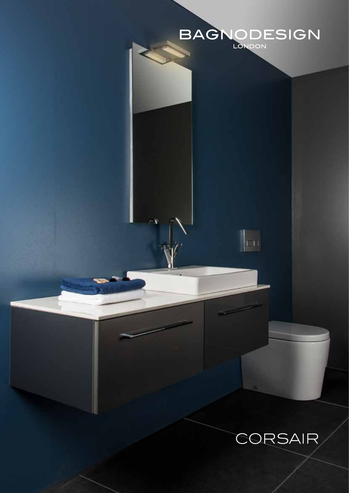

 $\parallel_{\Box}$ 

# **CORSAIR**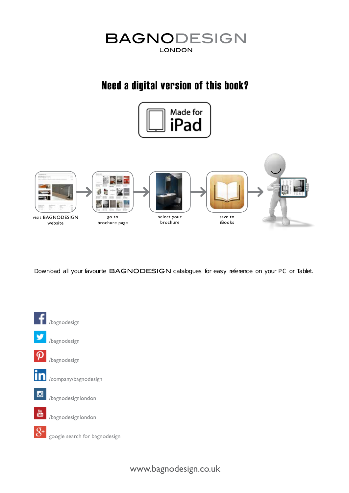

## Need a digital version of this book?





Download all your favourite **BAGNODESIGN** catalogues for easy reference on your PC or Tablet.



www.bagnodesign.co.uk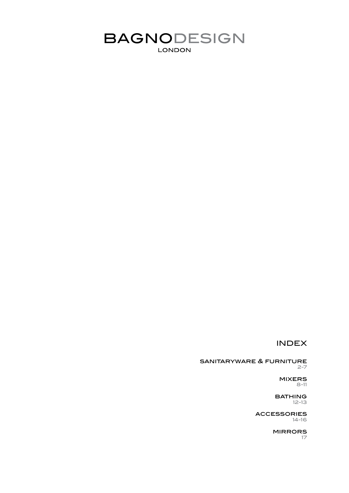

#### INDEX

sanitaryware & furniture  $2 - 7$ 

> **MIXERS** 8-11

**BATHING** 12-13

**ACCESSORIES** 14-16

> **MIRRORS** 17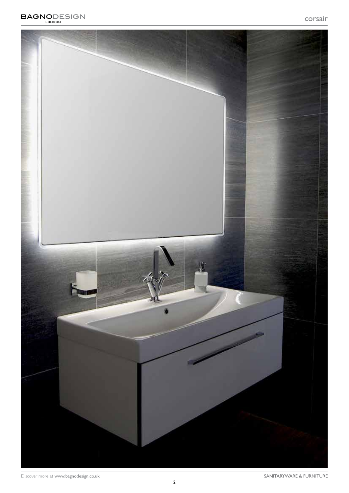

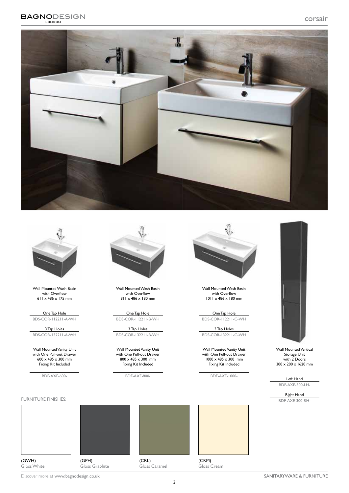





Wall Mounted Wash Basin with Overflow 611 x 486 x 175 mm

One Tap Hole BDS-COR-112211-A-WH

3 Tap Holes BDS-COR-132211-A-WH

Wall Mounted Vanity Unit with One Pull-out Drawer 600 x 485 x 300 mm Fixing Kit Included

BDF-AXE-600-



Wall Mounted Wash Basin with Overflow 811 x 486 x 180 mm

One Tap Hole BDS-COR-112211-B-WH

3 Tap Holes BDS-COR-132211-B-WH

Wall Mounted Vanity Unit with One Pull-out Drawer 800 x 485 x 300 mm Fixing Kit Included

BDF-AXE-800-



Wall Mounted Wash Basin with Overflow 1011 x 486 x 180 mm

One Tap Hole BDS-COR-112211-C-WH

3 Tap Holes BDS-COR-132211-C-WH

Wall Mounted Vanity Unit with One Pull-out Drawer 1000 x 485 x 300 mm Fixing Kit Included

BDF-AXE-1000-







Wall Mounted Vertical Storage Unit with 2 Doors 300 x 200 x 1620 mm

Left Hand BDF-AXE-300-LH-

Right Hand

(GWH) Gloss White (GPH) Gloss Graphite (CRL) Gloss Caramel

Discover more at www.bagnodesign.co.uk **SANITARYWARE & FURNITURE** 3. The SANITARY SANITARYWARE & FURNITURE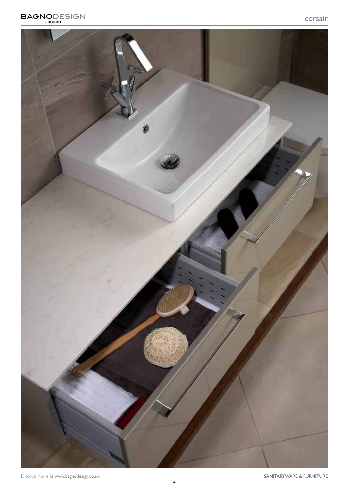

![](_page_5_Picture_2.jpeg)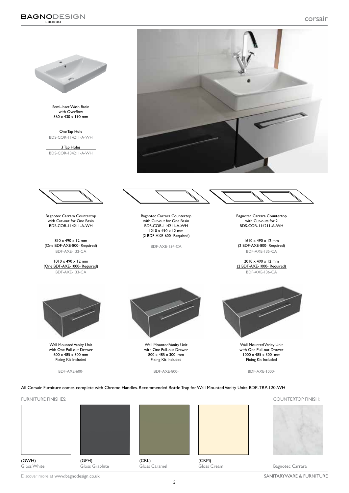![](_page_6_Picture_0.jpeg)

![](_page_6_Picture_2.jpeg)

Semi-Inset Wash Basin with Overflow 560 x 430 x 190 mm

One Tap Hole BDS-COR-114211-A-WH

3 Tap Holes BDS-COR-134211-A-WH

![](_page_6_Picture_6.jpeg)

$$
\sqrt{\underline{\quad \quad }}
$$

Bagnotec Carrara Countertop with Cut-out for One Basin BDS-COR-114211-A-WH

810 x 490 x 12 mm (One BDF-AXE-800- Required) BDF-AXE-132-CA

1010 x 490 x 12 mm (One BDF-AXE-1000- Required) BDF-AXE-133-CA

![](_page_6_Picture_11.jpeg)

Bagnotec Carrara Countertop with Cut-out for One Basin BDS-COR-114211-A-WH 1210 x 490 x 12 mm (2 BDF-AXE-600- Required)

BDF-AXE-134-CA

Bagnotec Carrara Countertop with Cut-outs for 2 BDS-COR-114211-A-WH

1610 x 490 x 12 mm (2 BDF-AXE-800- Required) BDF-AXE-135-CA

2010 x 490 x 12 mm (2 BDF-AXE-1000- Required) BDF-AXE-136-CA

![](_page_6_Figure_17.jpeg)

Wall Mounted Vanity Unit with One Pull-out Drawer 600 x 485 x 300 mm Fixing Kit Included

BDF-AXE-600-

![](_page_6_Picture_19.jpeg)

with One Pull-out Drawer 800 x 485 x 300 mm Fixing Kit Included

BDF-AXE-800-

![](_page_6_Picture_22.jpeg)

Fixing Kit Included

BDF-AXE-1000-

All Corsair Furniture comes complete with Chrome Handles. Recommended Bottle Trap for Wall Mounted Vanity Units BDP-TRP-120-WH

![](_page_6_Figure_26.jpeg)

Discover more at www.bagnodesign.co.uk **SANITARYWARE & FURNITURE** 3. The SANITARY SANITARYWARE & FURNITURE

5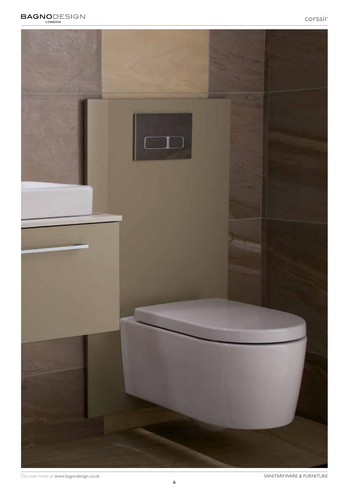![](_page_7_Picture_0.jpeg)

![](_page_7_Picture_2.jpeg)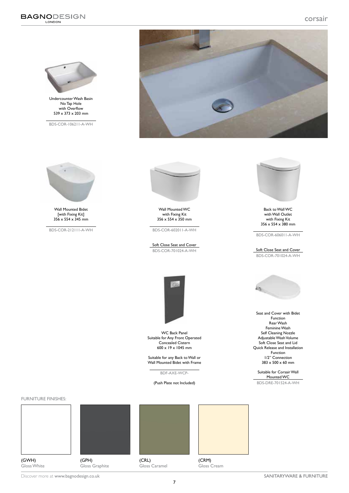Gloss White

(GWH)

Discover more at www.bagnodesign.co.uk **SANITARYWARE & FURNITURE** 3. The SANITARY SANITARYWARE & FURNITURE

(GPH) Gloss Graphite (CRM) Gloss Cream

![](_page_8_Picture_4.jpeg)

![](_page_8_Picture_5.jpeg)

![](_page_8_Picture_6.jpeg)

Wall Mounted Bidet [with Fixing Kit] 356 x 554 x 345 mm

BDS-COR-212111-A-WH

![](_page_8_Picture_9.jpeg)

Wall Mounted WC with Fixing Kit 356 x 554 x 350 mm

BDS-COR-602011-A-WH

Soft Close Seat and Cover BDS-COR-701024-A-WH

![](_page_8_Picture_13.jpeg)

WC Back Panel Suitable for Any Front Operated Concealed Cistern 600 x 19 x 1045 mm

Suitable for any Back to Wall or Wall Mounted Bidet with Frame

BDF-AXE-WCP-

(Push Plate not Included)

![](_page_8_Picture_18.jpeg)

Back to Wall WC with Wall Outlet with Fixing Kit 356 x 554 x 380 mm

BDS-COR-606011-A-WH

Soft Close Seat and Cover BDS-COR-701024-A-WH

![](_page_8_Picture_22.jpeg)

Seat and Cover with Bidet Function Rear Wash Feminine Wash Self Cleaning Nozzle Adjustable Wash Volume Soft Close Seat and Lid Quick Release and Installation Function 1/2" Connection 383 x 500 x 60 mm

Suitable for Corsair Wall Mounted WC BDS-DRE-701524-A-WH

![](_page_8_Picture_25.jpeg)

![](_page_8_Picture_26.jpeg)

**BAGNODESIGN** LONDON

> Undercounter Wash Basin No Tap Hole with Overflow 539 x 373 x 203 mm

BDS-COR-106211-A-WH

![](_page_8_Picture_29.jpeg)

(CRL) Gloss Caramel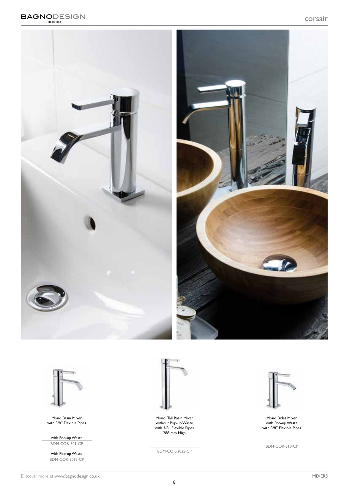![](_page_9_Picture_2.jpeg)

![](_page_9_Picture_3.jpeg)

Mono Basin Mixer with 3/8" Flexible Pipes

with Pop-up Waste BDM-COR-301-CP

with Pop-up Waste BDM-COR-301S-CP

![](_page_9_Picture_7.jpeg)

Mono Tall Basin Mixer without Pop-up Waste with 3/8" Flexible Pipes 288 mm High

BDM-COR-302S-CP

![](_page_9_Picture_10.jpeg)

Mono Bidet Mixer with Pop-up Waste with 3/8" Flexible Pipes

BDM-COR-310-CP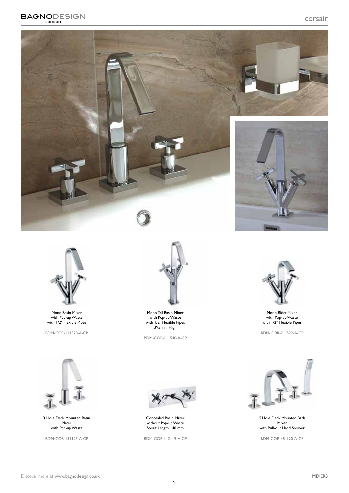![](_page_10_Picture_1.jpeg)

![](_page_10_Picture_2.jpeg)

![](_page_10_Picture_3.jpeg)

Mono Basin Mixer with Pop-up Waste with 1/2" Flexible Pipes

BDM-COR-111528-A-CP

![](_page_10_Picture_6.jpeg)

Mono Tall Basin Mixer with Pop-up Waste with 1/2" Flexible Pipes 395 mm High

BDM-COR-111540-A-CP

![](_page_10_Picture_9.jpeg)

Mono Bidet Mixer with Pop-up Waste with 1/2" Flexible Pipes

BDM-COR-211522-A-CP

![](_page_10_Picture_12.jpeg)

3 Hole Deck Mounted Basin Mixer with Pop-up Waste

BDM-COR-131125-A-CP

![](_page_10_Picture_15.jpeg)

Concealed Basin Mixer without Pop-up Waste Spout Length 140 mm

BDM-COR-112119-A-CP

![](_page_10_Picture_18.jpeg)

5 Hole Deck Mounted Bath Mixer with Pull-out Hand Shower

BDM-COR-451120-A-CP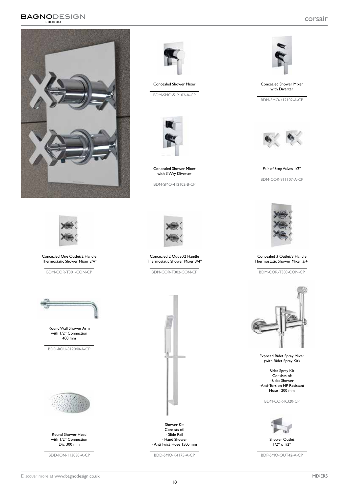![](_page_11_Picture_2.jpeg)

![](_page_11_Picture_3.jpeg)

Concealed Shower Mixer

BDM-SMO-512102-A-CP

![](_page_11_Picture_6.jpeg)

Concealed Shower Mixer with 3 Way Diverter

BDM-SMO-412102-B-CP

Concealed 2 Outlet/2 Handle Thermostatic Shower Mixer 3/4" BDM-COR-T302-CON-CP

![](_page_11_Picture_9.jpeg)

Concealed Shower Mixer with Diverter

BDM-SMO-412102-A-CP

![](_page_11_Picture_12.jpeg)

Pair of Stop Valves 1/2"

BDM-COR-911107-A-CP

![](_page_11_Picture_15.jpeg)

Concealed One Outlet/2 Handle Thermostatic Shower Mixer 3/4"

BDM-COR-T301-CON-CP

![](_page_11_Picture_18.jpeg)

Round Wall Shower Arm with 1/2" Connection 400 mm

BDD-ROU-312040-A-CP

![](_page_11_Picture_21.jpeg)

Round Shower Head with 1/2" Connection Dia. 300 mm

BDD-ION-113030-A-CP

![](_page_11_Picture_24.jpeg)

Shower Kit Consists of: - Slide Rail - Hand Shower - Anti Twist Hose 1500 mm

BDD-SMO-K4175-A-CP

![](_page_11_Picture_27.jpeg)

Concealed 3 Outlet/3 Handle Thermostatic Shower Mixer 3/4"

BDM-COR-T303-CON-CP

![](_page_11_Picture_30.jpeg)

Exposed Bidet Spray Mixer (with Bidet Spray Kit)

Bidet Spray Kit Consists of: -Bidet Shower -Anti-Torsion HP Resistant Hose 1200 mm

BDM-COR-K320-CP

![](_page_11_Picture_34.jpeg)

Shower Outlet  $1/2" \times 1/2"$ 

BDP-SMO-OUT42-A-CP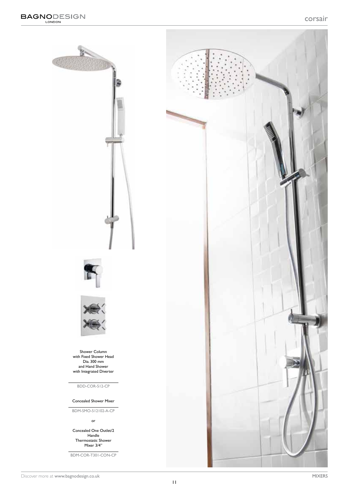![](_page_12_Picture_2.jpeg)

Shower Column with Fixed Shower Head Dia. 300 mm and Hand Shower with Integrated Diverter

BDD-COR-512-CP

Concealed Shower Mixer

BDM-SMO-512102-A-CP

or

Concealed One Outlet/2 Handle Thermostatic Shower Mixer 3/4"

BDM-COR-T301-CON-CP

![](_page_12_Picture_10.jpeg)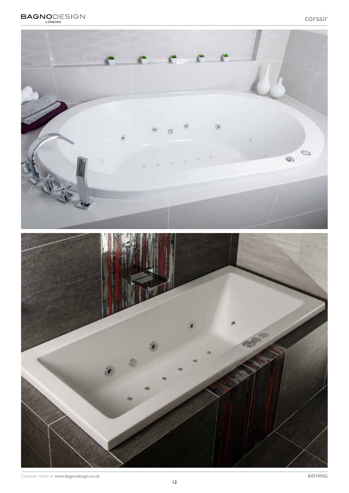![](_page_13_Picture_1.jpeg)

![](_page_13_Picture_2.jpeg)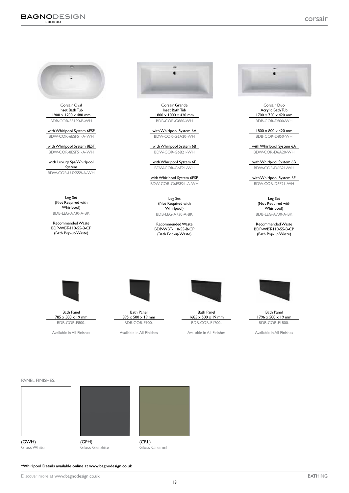![](_page_14_Picture_0.jpeg)

![](_page_14_Picture_2.jpeg)

![](_page_14_Picture_3.jpeg)

1800 x 1000 x 420 mm BDB-COR-G880-WH

BDW-COR-G6A20-WH

with Whirlpool System 6E BDW-COR-G6E21-WH

with Whirlpool System 6ESF

(Not Required with BDB-LEG-A730-A-BK

BDP-WBT-110-55-B-CP

![](_page_14_Picture_11.jpeg)

1685 x 500 x 19 mm BDB-COR-F1700-

Available in All Finishes

![](_page_14_Picture_14.jpeg)

Corsair Duo Acrylic Bath Tub 1700 x 750 x 420 mm BDB-COR-D800-WH

1800 x 800 x 420 mm BDB-COR-D850-WH

with Whirlpool System 6A BDW-COR-D6A20-WH

with Whirlpool System 6B BDW-COR-D6B21-WH

with Whirlpool System 6E BDW-COR-D6E21-WH

Leg Set (Not Required with Whirlpool)

BDB-LEG-A730-A-BK

Recommended Waste BDP-WBT-110-55-B-CP (Bath Pop-up Waste)

![](_page_14_Picture_23.jpeg)

Bath Panel

![](_page_14_Picture_26.jpeg)

Bath Panel 1796 x 500 x 19 mm BDB-COR-F1800-

Available in All Finishes

PANEL FINISHES:

![](_page_14_Picture_30.jpeg)

(GWH) Gloss White

![](_page_14_Picture_32.jpeg)

![](_page_14_Picture_33.jpeg)

Gloss Caramel

**\*Whirlpool Details available online at www.bagnodesign.co.uk**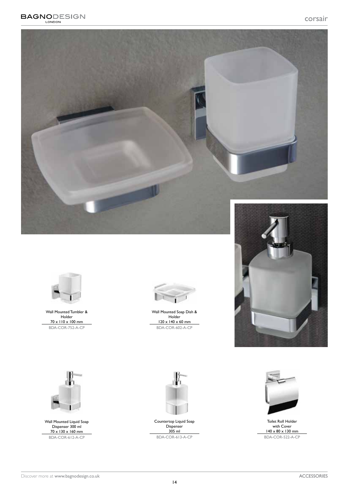![](_page_15_Picture_1.jpeg)

![](_page_15_Picture_2.jpeg)

Wall Mounted Tumbler & Holder 70 x 110 x 100 mm BDA-COR-752-A-CP

![](_page_15_Picture_4.jpeg)

Wall Mounted Soap Dish & Holder  $120 \times 140 \times 60$  mm BDA-COR-602-A-CP

![](_page_15_Picture_6.jpeg)

![](_page_15_Picture_7.jpeg)

Wall Mounted Liquid Soap Dispenser 300 ml 70 x 130 x 160 mm BDA-COR-612-A-CP

![](_page_15_Picture_9.jpeg)

Countertop Liquid Soap Dispenser 305 ml BDA-COR-613-A-CP

![](_page_15_Picture_11.jpeg)

Toilet Roll Holder with Cover 140 x 80 x 130 mm BDA-COR-522-A-CP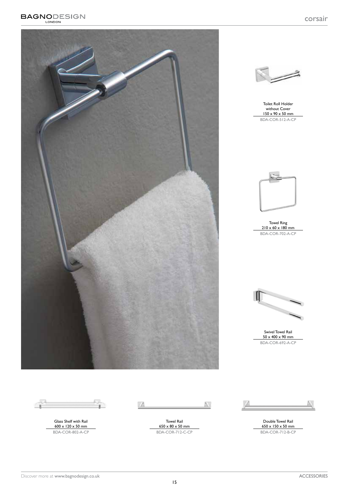![](_page_16_Picture_0.jpeg)

![](_page_16_Picture_1.jpeg)

![](_page_16_Picture_2.jpeg)

Toilet Roll Holder without Cover 150 x 90 x 50 mm BDA-COR-512-A-CP

![](_page_16_Picture_4.jpeg)

Towel Ring 210 x 60 x 180 mm BDA-COR-702-A-CP

![](_page_16_Picture_6.jpeg)

Swivel Towel Rail 50 x 400 x 90 mm BDA-COR-692-A-CP

A Glass Shelf with Rail Towel Rail Double Towel Rail  $600 \times 120 \times 50$  mm  $650 \times 80 \times 50$  mm 650 x 150 x 50 mm BDA-COR-712-B-CP BDA-COR-712-C-CP

15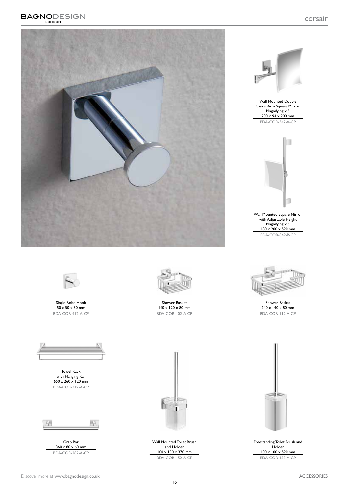![](_page_17_Picture_1.jpeg)

![](_page_17_Picture_2.jpeg)

![](_page_17_Picture_3.jpeg)

Single Robe Hook  $50 \times 50 \times 50 \text{ mm}$ BDA-COR-412-A-CP

![](_page_17_Picture_5.jpeg)

Towel Rack with Hanging Rail 650 x 260 x 120 mm BDA-COR-712-A-CP

![](_page_17_Picture_7.jpeg)

Grab Bar  $360 \times 80 \times 60$  mm BDA-COR-282-A-CP

![](_page_17_Picture_9.jpeg)

Shower Basket 140 x 120 x 80 mm BDA-COR-102-A-CP

![](_page_17_Picture_11.jpeg)

180 x 200 x 520 mm BDA-COR-342-B-CP

Shower Basket  $240 \times 140 \times 80$  mm BDA-COR-112-A-CP

![](_page_17_Picture_13.jpeg)

Wall Mounted Toilet Brush and Holder  $100 \times 130 \times 370$  mm BDA-COR-152-A-CP

![](_page_17_Picture_15.jpeg)

Freestanding Toilet Brush and Holder 100 x 100 x 520 mm BDA-COR-153-A-CP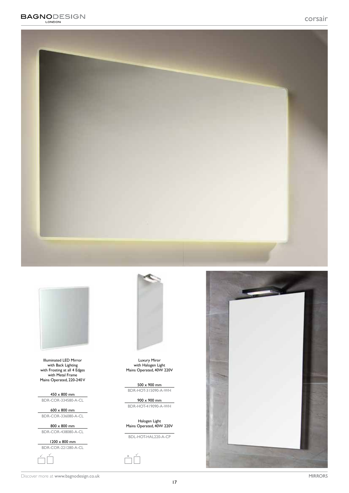![](_page_18_Picture_0.jpeg)

![](_page_18_Picture_1.jpeg)

![](_page_18_Picture_2.jpeg)

Illuminated LED Mirror with Back Lighting with Frosting at all 4 Edges with Metal Frame Mains Operated, 220-240 V

450 x 800 mm BDR-COR-334580-A-CL

 $600 \times 800$  mm BDR-COR-336080-A-CL

800 x 800 mm BDR-COR-438080-A-CL

1200 x 800 mm BDR-COR-221280-A-CL

![](_page_18_Picture_8.jpeg)

![](_page_18_Picture_9.jpeg)

Luxury Miror with Halogen Light Mains Operated, 40W 220V

500 x 900 mm BDR-HOT-315090-A-WH

900 x 900 mm BDR-HOT-419090-A-WH

Halogen Light Mains Operated, 40W 220V

BDL-HOT-HAL220-A-CP

![](_page_18_Picture_15.jpeg)

![](_page_18_Picture_16.jpeg)

corsair